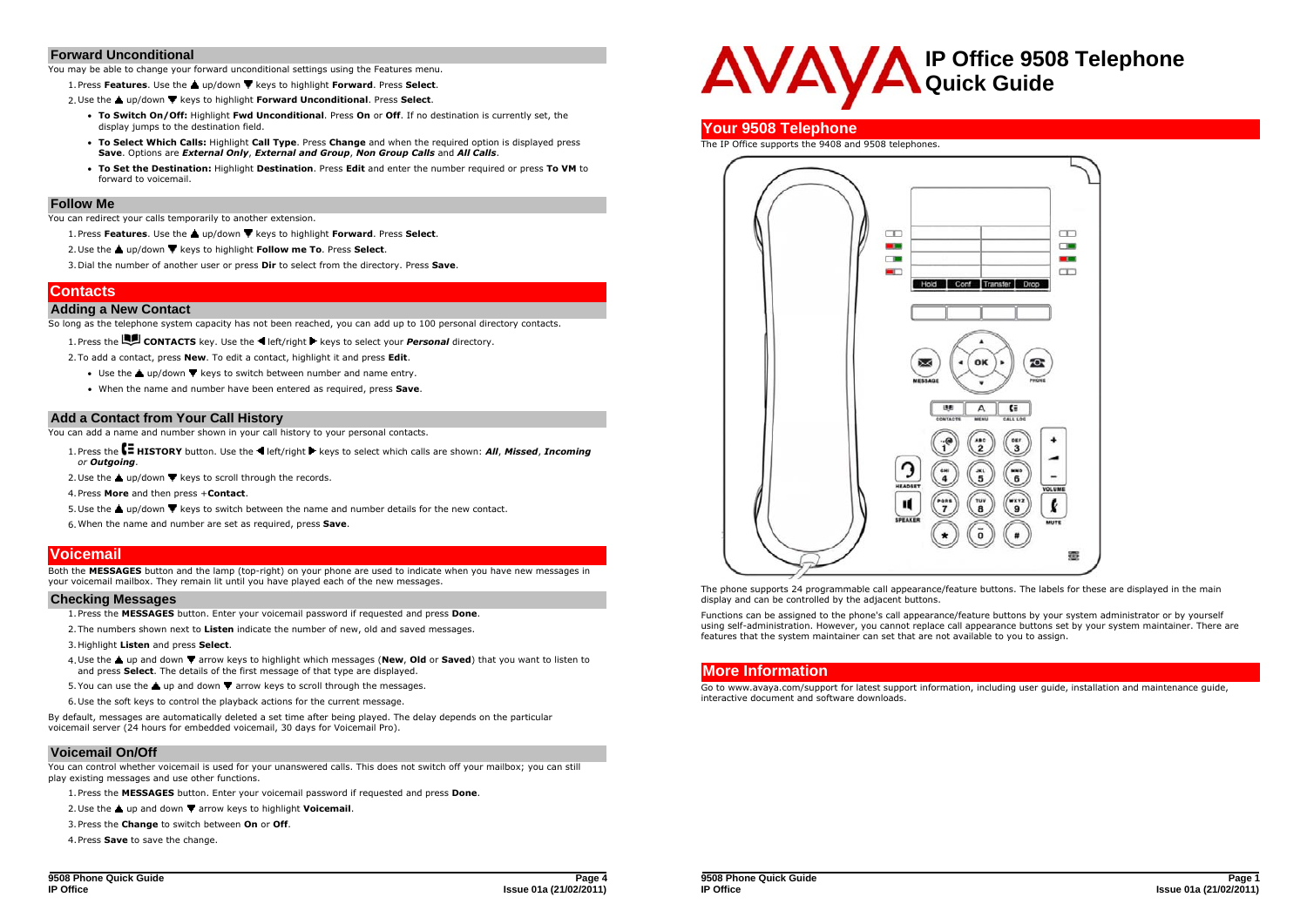#### **Forward Unconditional**

You may be able to change your forward unconditional settings using the Features menu.

1. Press **Features**. Use the **a** up/down  $\Psi$  keys to highlight **Forward**. Press **Select**.

2. Use the ▲ up/down ▼ keys to highlight **Forward Unconditional**. Press Select.

- **To Switch On/Off:** Highlight **Fwd Unconditional**. Press **On** or **Off**. If no destination is currently set, the display jumps to the destination field.
- **To Select Which Calls:** Highlight **Call Type**. Press **Change** and when the required option is displayed press **Save**. Options are *External Only*, *External and Group*, *Non Group Calls* and *All Calls*.
- **To Set the Destination:** Highlight **Destination**. Press **Edit** and enter the number required or press **To VM** to forward to voicemail.

#### **Follow Me**

You can redirect your calls temporarily to another extension.

- 1. Press **Features**. Use the ▲ up/down ▼ keys to highlight **Forward**. Press Select.
- 2. Use the ▲ up/down ▼ keys to highlight **Follow me To**. Press **Select**.

3.Dial the number of another user or press **Dir** to select from the directory. Press **Save**.

# **Contacts**

#### **Adding a New Contact**

So long as the telephone system capacity has not been reached, you can add up to 100 personal directory contacts.

1. Press the **CONTACTS** key. Use the **E** left/right keys to select your *Personal* directory.

2.To add a contact, press **New**. To edit a contact, highlight it and press **Edit**.

- Use the  $\triangle$  up/down  $\nabla$  keys to switch between number and name entry.
- When the name and number have been entered as required, press **Save**.

#### **Add a Contact from Your Call History**

You can add a name and number shown in your call history to your personal contacts.

- 1. Press the **E** HISTORY button. Use the <a>
left/right <a>
keys to select which calls are shown: All, Missed, Incoming *or Outgoing*.
- 2. Use the  $\triangle$  up/down  $\nabla$  keys to scroll through the records.
- 4.Press **More** and then press +**Contact**.
- 5. Use the  $\triangle$  up/down  $\blacktriangledown$  keys to switch between the name and number details for the new contact.
- 6.When the name and number are set as required, press **Save**.

# **Voicemail**

Both the **MESSAGES** button and the lamp (top-right) on your phone are used to indicate when you have new messages in your voicemail mailbox. They remain lit until you have played each of the new messages.

#### **Checking Messages**

1.Press the **MESSAGES** button. Enter your voicemail password if requested and press **Done**.

- 2.The numbers shown next to **Listen** indicate the number of new, old and saved messages.
- 3.Highlight **Listen** and press **Select**.
- 4. Use the **A** up and down  $\blacktriangledown$  arrow keys to highlight which messages (New, Old or Saved) that you want to listen to and press **Select**. The details of the first message of that type are displayed.
- 5. You can use the  $\triangle$  up and down  $\nabla$  arrow keys to scroll through the messages.
- 6.Use the soft keys to control the playback actions for the current message.

By default, messages are automatically deleted a set time after being played. The delay depends on the particular voicemail server (24 hours for embedded voicemail, 30 days for Voicemail Pro).

### **Voicemail On/Off**

You can control whether voicemail is used for your unanswered calls. This does not switch off your mailbox; you can still play existing messages and use other functions.

1.Press the **MESSAGES** button. Enter your voicemail password if requested and press **Done**.

2. Use the **△** up and down ▼ arrow keys to highlight **Voicemail**.

3.Press the **Change** to switch between **On** or **Off**.

4.Press **Save** to save the change.



### **Your 9508 Telephone**

#### The IP Office supports the 9408 and 9508 telephones.



The phone supports 24 programmable call appearance/feature buttons. The labels for these are displayed in the main display and can be controlled by the adjacent buttons.

Functions can be assigned to the phone's call appearance/feature buttons by your system administrator or by yourself using self-administration. However, you cannot replace call appearance buttons set by your system maintainer. There are features that the system maintainer can set that are not available to you to assign.

# **More Information**

Go to www.avaya.com/support for latest support information, including user guide, installation and maintenance guide, interactive document and software downloads.